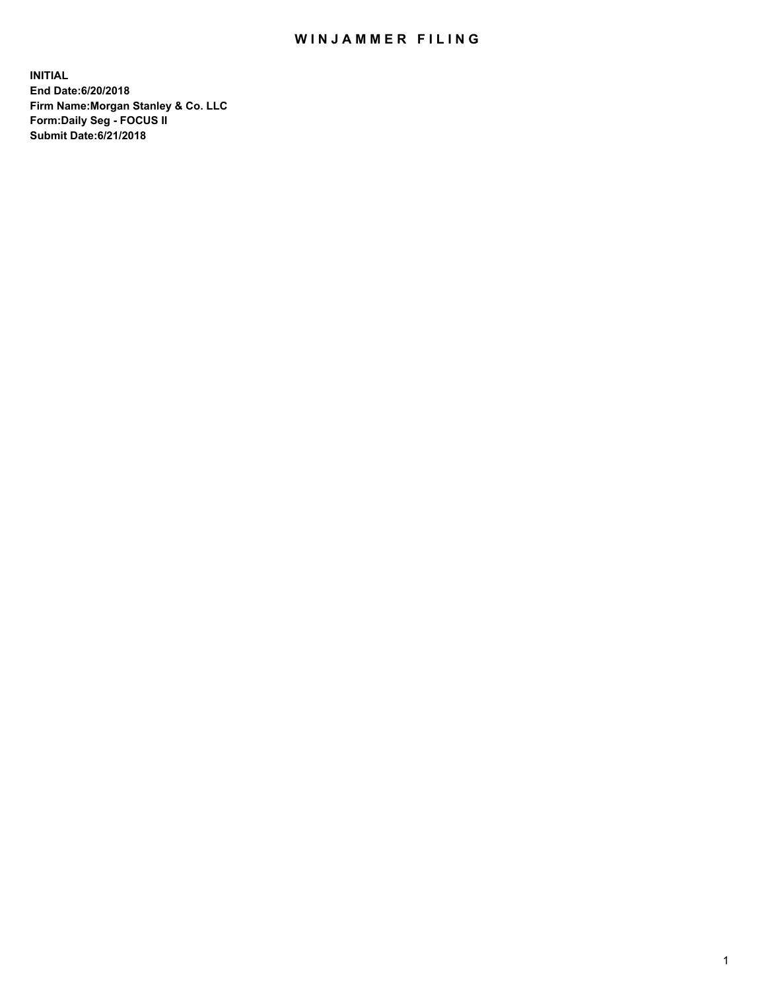## WIN JAMMER FILING

**INITIAL End Date:6/20/2018 Firm Name:Morgan Stanley & Co. LLC Form:Daily Seg - FOCUS II Submit Date:6/21/2018**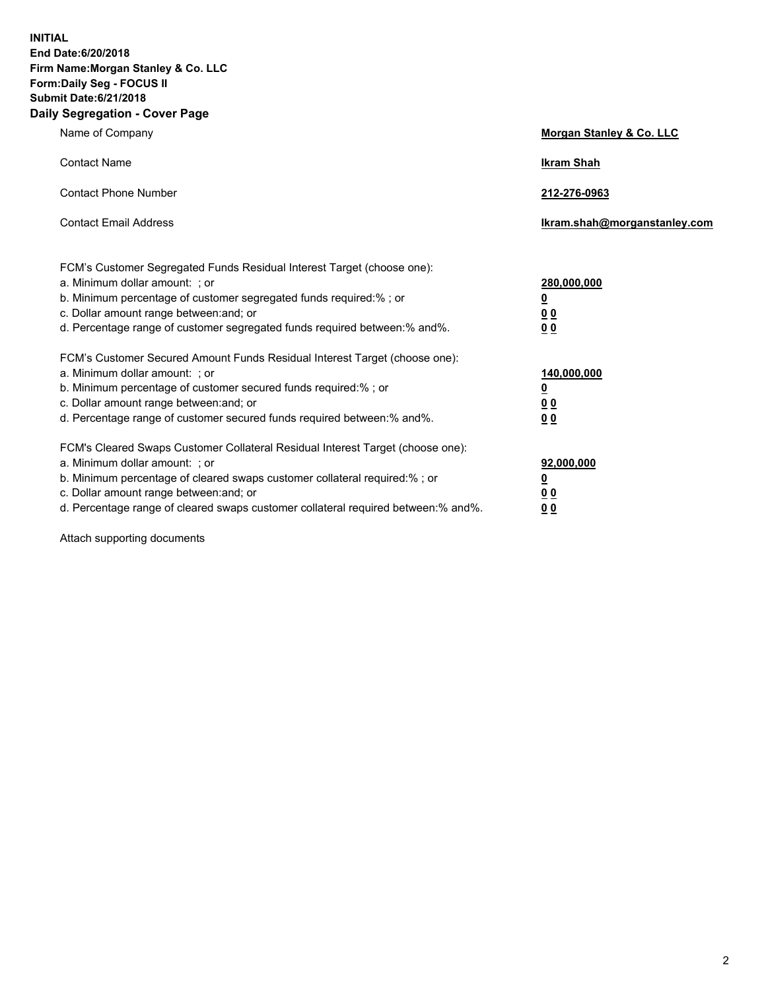**INITIAL End Date:6/20/2018 Firm Name:Morgan Stanley & Co. LLC Form:Daily Seg - FOCUS II Submit Date:6/21/2018 Daily Segregation - Cover Page**

| Name of Company                                                                                                                                                                                                                                                                                                                | Morgan Stanley & Co. LLC                               |
|--------------------------------------------------------------------------------------------------------------------------------------------------------------------------------------------------------------------------------------------------------------------------------------------------------------------------------|--------------------------------------------------------|
| <b>Contact Name</b>                                                                                                                                                                                                                                                                                                            | <b>Ikram Shah</b>                                      |
| <b>Contact Phone Number</b>                                                                                                                                                                                                                                                                                                    | 212-276-0963                                           |
| <b>Contact Email Address</b>                                                                                                                                                                                                                                                                                                   | lkram.shah@morganstanley.com                           |
| FCM's Customer Segregated Funds Residual Interest Target (choose one):<br>a. Minimum dollar amount: ; or<br>b. Minimum percentage of customer segregated funds required:% ; or<br>c. Dollar amount range between: and; or<br>d. Percentage range of customer segregated funds required between:% and%.                         | 280,000,000<br><u>0</u><br><u>0 0</u><br>0 Q           |
| FCM's Customer Secured Amount Funds Residual Interest Target (choose one):<br>a. Minimum dollar amount: ; or<br>b. Minimum percentage of customer secured funds required:%; or<br>c. Dollar amount range between: and; or<br>d. Percentage range of customer secured funds required between:% and%.                            | 140,000,000<br><u>0</u><br><u>00</u><br>0 <sub>0</sub> |
| FCM's Cleared Swaps Customer Collateral Residual Interest Target (choose one):<br>a. Minimum dollar amount: ; or<br>b. Minimum percentage of cleared swaps customer collateral required:% ; or<br>c. Dollar amount range between: and; or<br>d. Percentage range of cleared swaps customer collateral required between:% and%. | 92,000,000<br><u>0</u><br><u>00</u><br>0 <sup>0</sup>  |

Attach supporting documents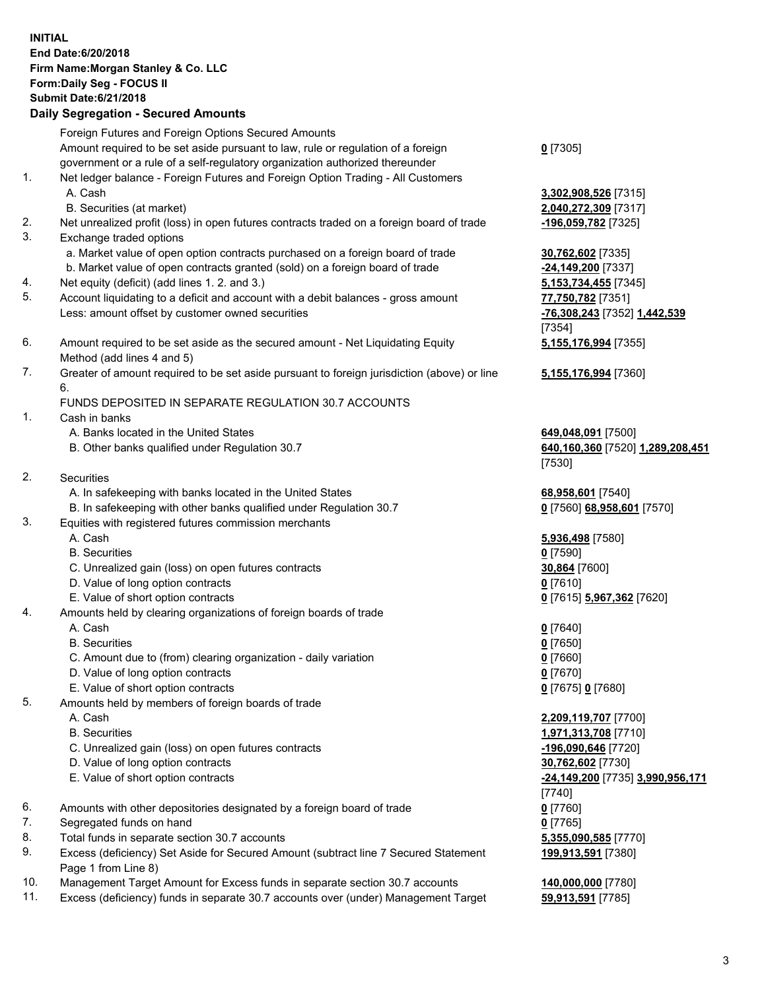## **INITIAL End Date:6/20/2018 Firm Name:Morgan Stanley & Co. LLC Form:Daily Seg - FOCUS II Submit Date:6/21/2018 Daily Segregation - Secured Amounts** Foreign Futures and Foreign Options Secured Amounts Amount required to be set aside pursuant to law, rule or regulation of a foreign government or a rule of a self-regulatory organization authorized thereunder **0** [7305] 1. Net ledger balance - Foreign Futures and Foreign Option Trading - All Customers A. Cash **3,302,908,526** [7315] B. Securities (at market) **2,040,272,309** [7317] 2. Net unrealized profit (loss) in open futures contracts traded on a foreign board of trade **-196,059,782** [7325] 3. Exchange traded options a. Market value of open option contracts purchased on a foreign board of trade **30,762,602** [7335] b. Market value of open contracts granted (sold) on a foreign board of trade **-24,149,200** [7337] 4. Net equity (deficit) (add lines 1. 2. and 3.) **5,153,734,455** [7345] 5. Account liquidating to a deficit and account with a debit balances - gross amount **77,750,782** [7351] Less: amount offset by customer owned securities **-76,308,243** [7352] **1,442,539** [7354] 6. Amount required to be set aside as the secured amount - Net Liquidating Equity Method (add lines 4 and 5) **5,155,176,994** [7355] 7. Greater of amount required to be set aside pursuant to foreign jurisdiction (above) or line 6. **5,155,176,994** [7360] FUNDS DEPOSITED IN SEPARATE REGULATION 30.7 ACCOUNTS 1. Cash in banks A. Banks located in the United States **649,048,091** [7500] B. Other banks qualified under Regulation 30.7 **640,160,360** [7520] **1,289,208,451** [7530] 2. Securities A. In safekeeping with banks located in the United States **68,958,601** [7540] B. In safekeeping with other banks qualified under Regulation 30.7 **0** [7560] **68,958,601** [7570] 3. Equities with registered futures commission merchants A. Cash **5,936,498** [7580] B. Securities **0** [7590] C. Unrealized gain (loss) on open futures contracts **30,864** [7600] D. Value of long option contracts **0** [7610] E. Value of short option contracts **0** [7615] **5,967,362** [7620] 4. Amounts held by clearing organizations of foreign boards of trade A. Cash **0** [7640] B. Securities **0** [7650] C. Amount due to (from) clearing organization - daily variation **0** [7660] D. Value of long option contracts **0** [7670] E. Value of short option contracts **0** [7675] **0** [7680] 5. Amounts held by members of foreign boards of trade A. Cash **2,209,119,707** [7700] B. Securities **1,971,313,708** [7710] C. Unrealized gain (loss) on open futures contracts **-196,090,646** [7720] D. Value of long option contracts **30,762,602** [7730] E. Value of short option contracts **-24,149,200** [7735] **3,990,956,171** [7740] 6. Amounts with other depositories designated by a foreign board of trade **0** [7760] 7. Segregated funds on hand **0** [7765] 8. Total funds in separate section 30.7 accounts **5,355,090,585** [7770] 9. Excess (deficiency) Set Aside for Secured Amount (subtract line 7 Secured Statement Page 1 from Line 8) **199,913,591** [7380]

- 10. Management Target Amount for Excess funds in separate section 30.7 accounts **140,000,000** [7780]
- 11. Excess (deficiency) funds in separate 30.7 accounts over (under) Management Target **59,913,591** [7785]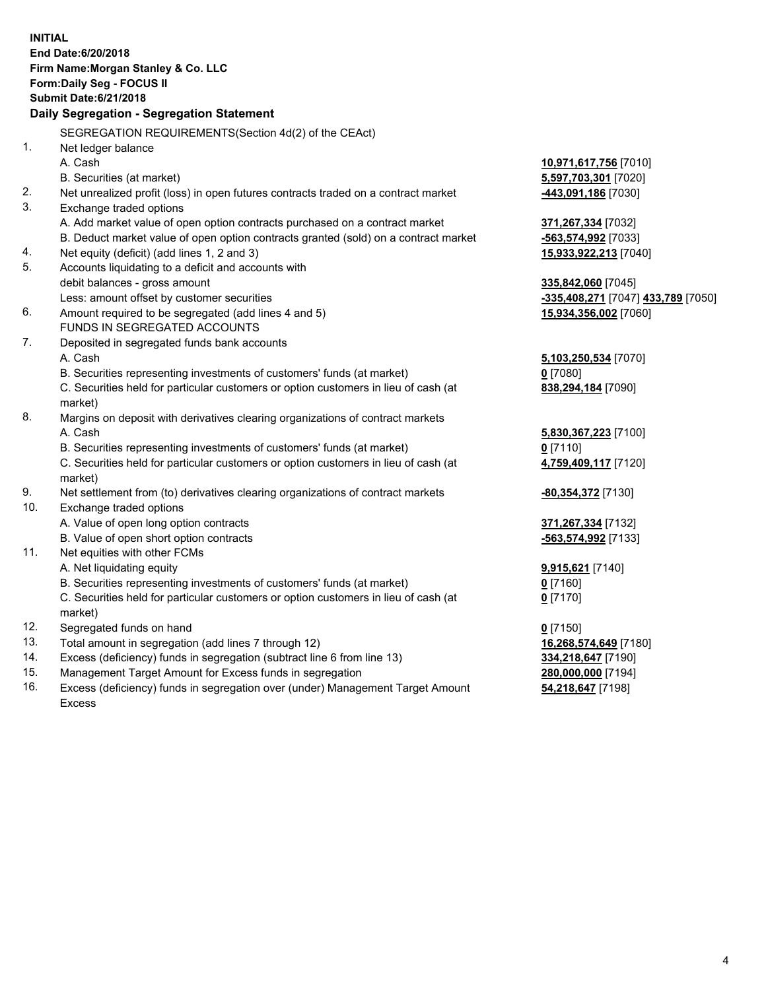**INITIAL End Date:6/20/2018 Firm Name:Morgan Stanley & Co. LLC Form:Daily Seg - FOCUS II Submit Date:6/21/2018 Daily Segregation - Segregation Statement** SEGREGATION REQUIREMENTS(Section 4d(2) of the CEAct) 1. Net ledger balance A. Cash **10,971,617,756** [7010] B. Securities (at market) **5,597,703,301** [7020] 2. Net unrealized profit (loss) in open futures contracts traded on a contract market **-443,091,186** [7030] 3. Exchange traded options A. Add market value of open option contracts purchased on a contract market **371,267,334** [7032] B. Deduct market value of open option contracts granted (sold) on a contract market **-563,574,992** [7033] 4. Net equity (deficit) (add lines 1, 2 and 3) **15,933,922,213** [7040] 5. Accounts liquidating to a deficit and accounts with debit balances - gross amount **335,842,060** [7045] Less: amount offset by customer securities **-335,408,271** [7047] **433,789** [7050] 6. Amount required to be segregated (add lines 4 and 5) **15,934,356,002** [7060] FUNDS IN SEGREGATED ACCOUNTS 7. Deposited in segregated funds bank accounts A. Cash **5,103,250,534** [7070] B. Securities representing investments of customers' funds (at market) **0** [7080] C. Securities held for particular customers or option customers in lieu of cash (at market) **838,294,184** [7090] 8. Margins on deposit with derivatives clearing organizations of contract markets A. Cash **5,830,367,223** [7100] B. Securities representing investments of customers' funds (at market) **0** [7110] C. Securities held for particular customers or option customers in lieu of cash (at market) **4,759,409,117** [7120] 9. Net settlement from (to) derivatives clearing organizations of contract markets **-80,354,372** [7130] 10. Exchange traded options A. Value of open long option contracts **371,267,334** [7132] B. Value of open short option contracts **-563,574,992** [7133] 11. Net equities with other FCMs A. Net liquidating equity **9,915,621** [7140] B. Securities representing investments of customers' funds (at market) **0** [7160] C. Securities held for particular customers or option customers in lieu of cash (at market) **0** [7170] 12. Segregated funds on hand **0** [7150] 13. Total amount in segregation (add lines 7 through 12) **16,268,574,649** [7180] 14. Excess (deficiency) funds in segregation (subtract line 6 from line 13) **334,218,647** [7190] 15. Management Target Amount for Excess funds in segregation **280,000,000** [7194]

16. Excess (deficiency) funds in segregation over (under) Management Target Amount Excess

**54,218,647** [7198]